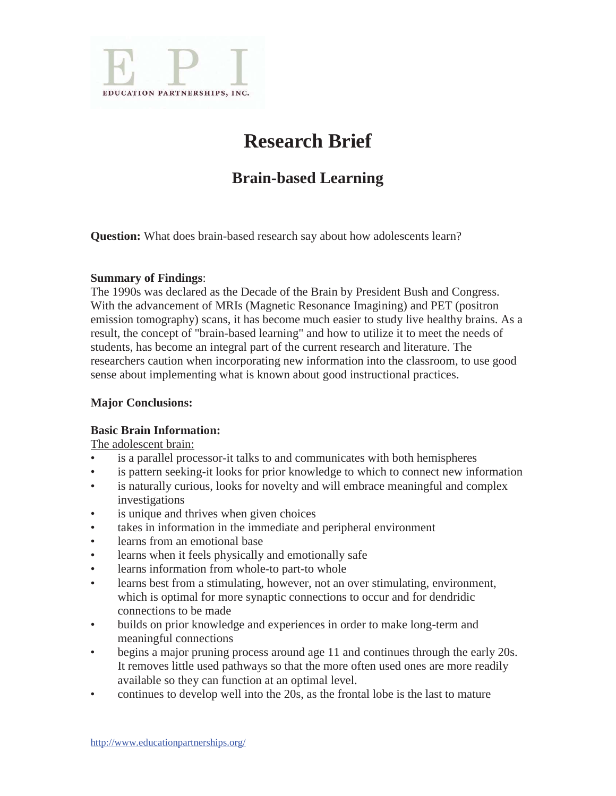

# **Research Brief**

# **Brain-based Learning**

**Question:** What does brain-based research say about how adolescents learn?

## **Summary of Findings**:

The 1990s was declared as the Decade of the Brain by President Bush and Congress. With the advancement of MRIs (Magnetic Resonance Imagining) and PET (positron emission tomography) scans, it has become much easier to study live healthy brains. As a result, the concept of "brain-based learning" and how to utilize it to meet the needs of students, has become an integral part of the current research and literature. The researchers caution when incorporating new information into the classroom, to use good sense about implementing what is known about good instructional practices.

# **Major Conclusions:**

#### **Basic Brain Information:**

The adolescent brain:

- is a parallel processor-it talks to and communicates with both hemispheres
- is pattern seeking-it looks for prior knowledge to which to connect new information
- is naturally curious, looks for novelty and will embrace meaningful and complex investigations
- is unique and thrives when given choices
- takes in information in the immediate and peripheral environment
- learns from an emotional base
- learns when it feels physically and emotionally safe
- learns information from whole-to part-to whole
- learns best from a stimulating, however, not an over stimulating, environment, which is optimal for more synaptic connections to occur and for dendridic connections to be made
- builds on prior knowledge and experiences in order to make long-term and meaningful connections
- begins a major pruning process around age 11 and continues through the early 20s. It removes little used pathways so that the more often used ones are more readily available so they can function at an optimal level.
- continues to develop well into the 20s, as the frontal lobe is the last to mature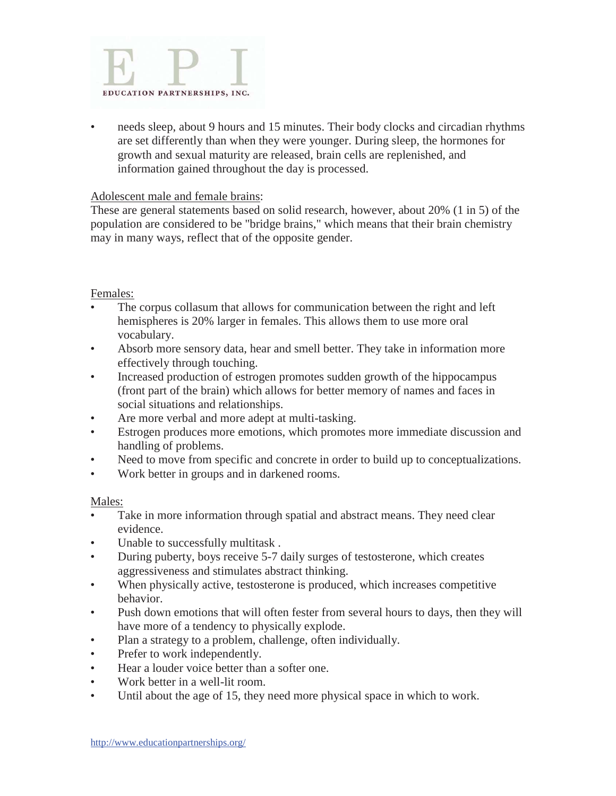

• needs sleep, about 9 hours and 15 minutes. Their body clocks and circadian rhythms are set differently than when they were younger. During sleep, the hormones for growth and sexual maturity are released, brain cells are replenished, and information gained throughout the day is processed.

#### Adolescent male and female brains:

These are general statements based on solid research, however, about 20% (1 in 5) of the population are considered to be "bridge brains," which means that their brain chemistry may in many ways, reflect that of the opposite gender.

#### Females:

- The corpus collasum that allows for communication between the right and left hemispheres is 20% larger in females. This allows them to use more oral vocabulary.
- Absorb more sensory data, hear and smell better. They take in information more effectively through touching.
- Increased production of estrogen promotes sudden growth of the hippocampus (front part of the brain) which allows for better memory of names and faces in social situations and relationships.
- Are more verbal and more adept at multi-tasking.
- Estrogen produces more emotions, which promotes more immediate discussion and handling of problems.
- Need to move from specific and concrete in order to build up to conceptualizations.
- Work better in groups and in darkened rooms.

#### Males:

- Take in more information through spatial and abstract means. They need clear evidence.
- Unable to successfully multitask.
- During puberty, boys receive 5-7 daily surges of testosterone, which creates aggressiveness and stimulates abstract thinking.
- When physically active, testosterone is produced, which increases competitive behavior.
- Push down emotions that will often fester from several hours to days, then they will have more of a tendency to physically explode.
- Plan a strategy to a problem, challenge, often individually.
- Prefer to work independently.
- Hear a louder voice better than a softer one.
- Work better in a well-lit room.
- Until about the age of 15, they need more physical space in which to work.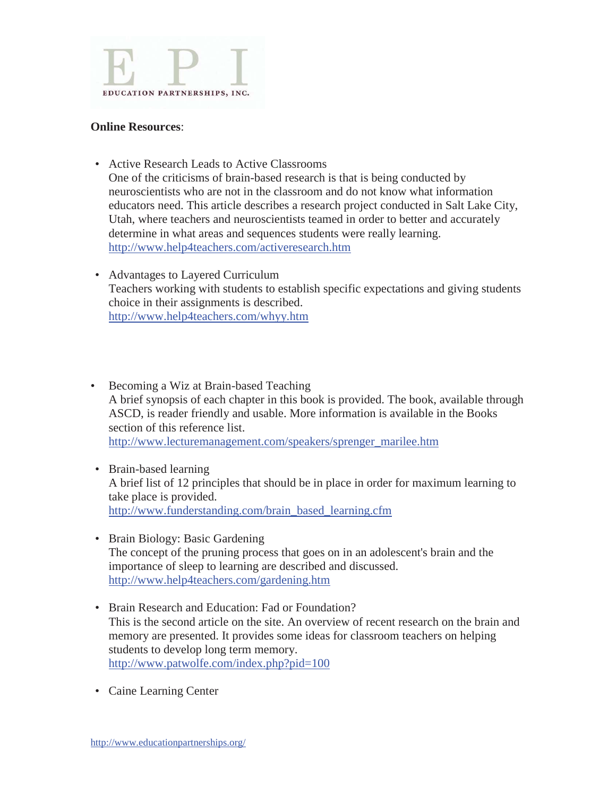

#### **Online Resources**:

- Active Research Leads to Active Classrooms One of the criticisms of brain-based research is that is being conducted by neuroscientists who are not in the classroom and do not know what information educators need. This article describes a research project conducted in Salt Lake City, Utah, where teachers and neuroscientists teamed in order to better and accurately determine in what areas and sequences students were really learning. http://www.help4teachers.com/activeresearch.htm
- Advantages to Layered Curriculum Teachers working with students to establish specific expectations and giving students choice in their assignments is described. http://www.help4teachers.com/whyy.htm
- Becoming a Wiz at Brain-based Teaching A brief synopsis of each chapter in this book is provided. The book, available through ASCD, is reader friendly and usable. More information is available in the Books section of this reference list. http://www.lecturemanagement.com/speakers/sprenger\_marilee.htm
- Brain-based learning A brief list of 12 principles that should be in place in order for maximum learning to take place is provided. http://www.funderstanding.com/brain\_based\_learning.cfm
- Brain Biology: Basic Gardening The concept of the pruning process that goes on in an adolescent's brain and the importance of sleep to learning are described and discussed. http://www.help4teachers.com/gardening.htm
- Brain Research and Education: Fad or Foundation? This is the second article on the site. An overview of recent research on the brain and memory are presented. It provides some ideas for classroom teachers on helping students to develop long term memory. http://www.patwolfe.com/index.php?pid=100
- Caine Learning Center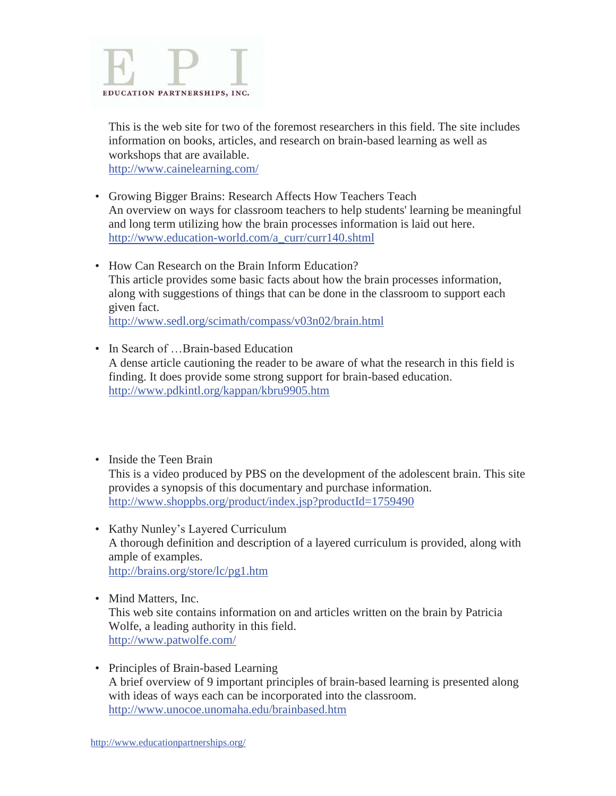

 This is the web site for two of the foremost researchers in this field. The site includes information on books, articles, and research on brain-based learning as well as workshops that are available. http://www.cainelearning.com/

- Growing Bigger Brains: Research Affects How Teachers Teach An overview on ways for classroom teachers to help students' learning be meaningful and long term utilizing how the brain processes information is laid out here. http://www.education-world.com/a\_curr/curr140.shtml
- How Can Research on the Brain Inform Education? This article provides some basic facts about how the brain processes information, along with suggestions of things that can be done in the classroom to support each given fact. http://www.sedl.org/scimath/compass/v03n02/brain.html
- In Search of ...Brain-based Education A dense article cautioning the reader to be aware of what the research in this field is finding. It does provide some strong support for brain-based education. http://www.pdkintl.org/kappan/kbru9905.htm
- Inside the Teen Brain This is a video produced by PBS on the development of the adolescent brain. This site provides a synopsis of this documentary and purchase information. http://www.shoppbs.org/product/index.jsp?productId=1759490
	- Kathy Nunley's Layered Curriculum A thorough definition and description of a layered curriculum is provided, along with ample of examples. http://brains.org/store/lc/pg1.htm
	- Mind Matters, Inc. This web site contains information on and articles written on the brain by Patricia Wolfe, a leading authority in this field. http://www.patwolfe.com/
	- Principles of Brain-based Learning A brief overview of 9 important principles of brain-based learning is presented along with ideas of ways each can be incorporated into the classroom. http://www.unocoe.unomaha.edu/brainbased.htm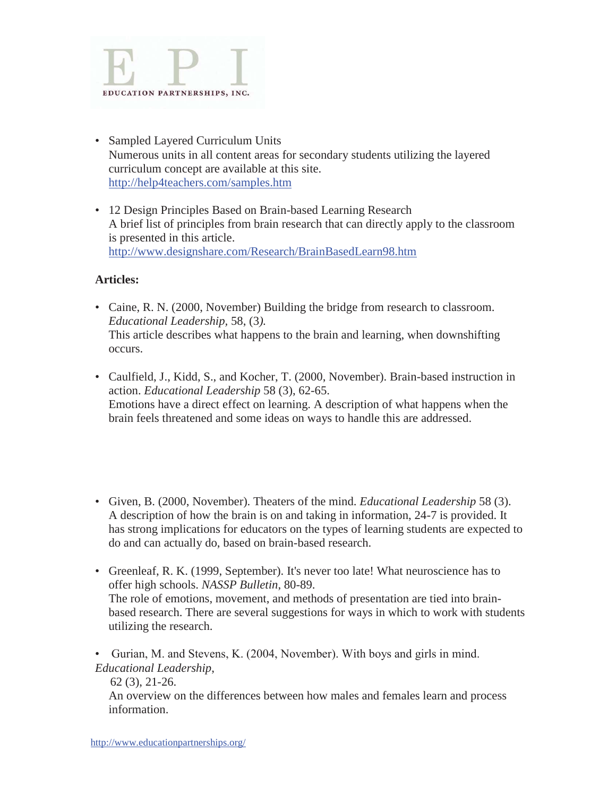

- Sampled Layered Curriculum Units Numerous units in all content areas for secondary students utilizing the layered curriculum concept are available at this site. http://help4teachers.com/samples.htm
- 12 Design Principles Based on Brain-based Learning Research A brief list of principles from brain research that can directly apply to the classroom is presented in this article. http://www.designshare.com/Research/BrainBasedLearn98.htm

## **Articles:**

- Caine, R. N. (2000, November) Building the bridge from research to classroom. *Educational Leadership,* 58, (3*).* This article describes what happens to the brain and learning, when downshifting occurs.
- Caulfield, J., Kidd, S., and Kocher, T. (2000, November). Brain-based instruction in action. *Educational Leadership* 58 (3), 62-65. Emotions have a direct effect on learning. A description of what happens when the brain feels threatened and some ideas on ways to handle this are addressed.
- Given, B. (2000, November). Theaters of the mind. *Educational Leadership* 58 (3). A description of how the brain is on and taking in information, 24-7 is provided. It has strong implications for educators on the types of learning students are expected to do and can actually do, based on brain-based research.
- Greenleaf, R. K. (1999, September). It's never too late! What neuroscience has to offer high schools. *NASSP Bulletin*, 80-89. The role of emotions, movement, and methods of presentation are tied into brainbased research. There are several suggestions for ways in which to work with students utilizing the research.
- Gurian, M. and Stevens, K. (2004, November). With boys and girls in mind. *Educational Leadership*,

 62 (3), 21-26. An overview on the differences between how males and females learn and process information.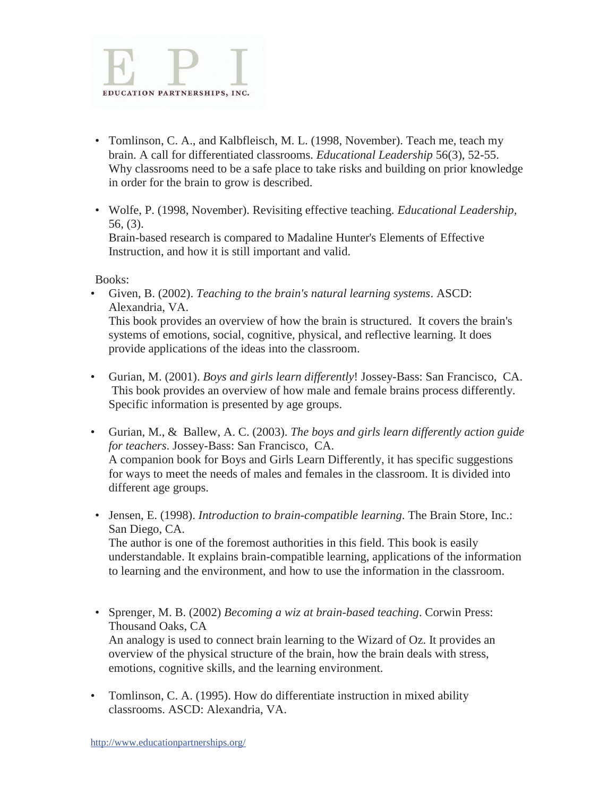

- Tomlinson, C. A., and Kalbfleisch, M. L. (1998, November). Teach me, teach my brain. A call for differentiated classrooms. *Educational Leadership* 56(3), 52-55. Why classrooms need to be a safe place to take risks and building on prior knowledge in order for the brain to grow is described.
- Wolfe, P. (1998, November). Revisiting effective teaching. *Educational Leadership,*  56, (3). Brain-based research is compared to Madaline Hunter's Elements of Effective Instruction, and how it is still important and valid.

Books:

- Given, B. (2002). *Teaching to the brain's natural learning systems*. ASCD: Alexandria, VA. This book provides an overview of how the brain is structured. It covers the brain's systems of emotions, social, cognitive, physical, and reflective learning. It does provide applications of the ideas into the classroom.
- Gurian, M. (2001). *Boys and girls learn differently*! Jossey-Bass: San Francisco, CA. This book provides an overview of how male and female brains process differently. Specific information is presented by age groups.
- Gurian, M., & Ballew, A. C. (2003). *The boys and girls learn differently action guide for teachers*. Jossey-Bass: San Francisco, CA. A companion book for Boys and Girls Learn Differently, it has specific suggestions for ways to meet the needs of males and females in the classroom. It is divided into different age groups.
- Jensen, E. (1998). *Introduction to brain-compatible learning*. The Brain Store, Inc.: San Diego, CA.

 The author is one of the foremost authorities in this field. This book is easily understandable. It explains brain-compatible learning, applications of the information to learning and the environment, and how to use the information in the classroom.

- Sprenger, M. B. (2002) *Becoming a wiz at brain-based teaching*. Corwin Press: Thousand Oaks, CA An analogy is used to connect brain learning to the Wizard of Oz. It provides an overview of the physical structure of the brain, how the brain deals with stress, emotions, cognitive skills, and the learning environment.
- Tomlinson, C. A. (1995). How do differentiate instruction in mixed ability classrooms. ASCD: Alexandria, VA.